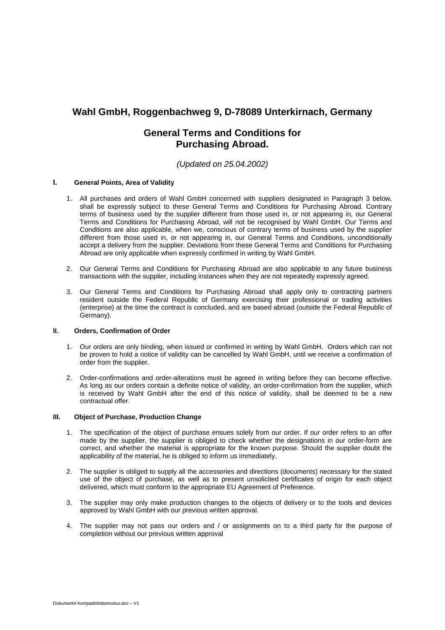# **Wahl GmbH, Roggenbachweg 9, D-78089 Unterkirnach, Germany**

# **General Terms and Conditions for Purchasing Abroad.**

## *(Updated on 25.04.2002)*

## **I. General Points, Area of Validity**

- 1. All purchases and orders of Wahl GmbH concerned with suppliers designated in Paragraph 3 below, shall be expressly subject to these General Terms and Conditions for Purchasing Abroad. Contrary terms of business used by the supplier different from those used in, or not appearing in, our General Terms and Conditions for Purchasing Abroad, will not be recognised by Wahl GmbH. Our Terms and Conditions are also applicable, when we, conscious of contrary terms of business used by the supplier different from those used in, or not appearing in, our General Terms and Conditions, unconditionally accept a delivery from the supplier. Deviations from these General Terms and Conditions for Purchasing Abroad are only applicable when expressly confirmed in writing by Wahl GmbH.
- 2. Our General Terms and Conditions for Purchasing Abroad are also applicable to any future business transactions with the supplier, including instances when they are not repeatedly expressly agreed.
- 3. Our General Terms and Conditions for Purchasing Abroad shall apply only to contracting partners resident outside the Federal Republic of Germany exercising their professional or trading activities (enterprise) at the time the contract is concluded, and are based abroad (outside the Federal Republic of Germany).

#### **II. Orders, Confirmation of Order**

- 1. Our orders are only binding, when issued or confirmed in writing by Wahl GmbH. Orders which can not be proven to hold a notice of validity can be cancelled by Wahl GmbH, until we receive a confirmation of order from the supplier.
- 2. Order-confirmations and order-alterations must be agreed in writing before they can become effective. As long as our orders contain a definite notice of validity, an order-confirmation from the supplier, which is received by Wahl GmbH after the end of this notice of validity, shall be deemed to be a new contractual offer.

#### **III. Object of Purchase, Production Change**

- 1. The specification of the object of purchase ensues solely from our order. If our order refers to an offer made by the supplier, the supplier is obliged to check whether the designations in our order-form are correct, and whether the material is appropriate for the known purpose. Should the supplier doubt the applicability of the material, he is obliged to inform us immediately.
- 2. The supplier is obliged to supply all the accessories and directions (documents) necessary for the stated use of the object of purchase, as well as to present unsolicited certificates of origin for each object delivered, which must conform to the appropriate EU Agreement of Preference.
- 3. The supplier may only make production changes to the objects of delivery or to the tools and devices approved by Wahl GmbH with our previous written approval.
- 4. The supplier may not pass our orders and / or assignments on to a third party for the purpose of completion without our previous written approval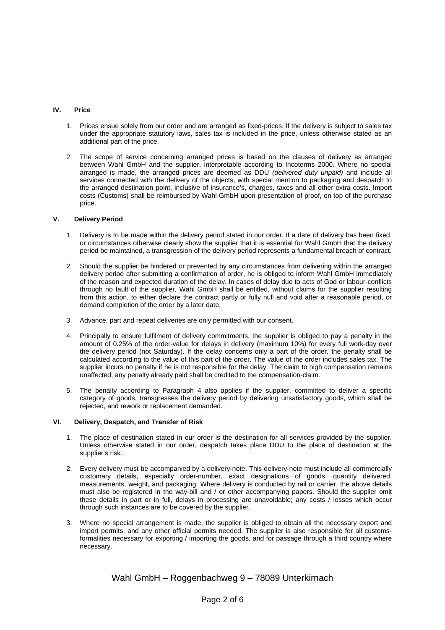## **IV. Price**

- 1. Prices ensue solely from our order and are arranged as fixed-prices. If the delivery is subject to sales tax under the appropriate statutory laws, sales tax is included in the price, unless otherwise stated as an additional part of the price.
- 2. The scope of service concerning arranged prices is based on the clauses of delivery as arranged between Wahl GmbH and the supplier, interpretable according to Incoterms 2000. Where no special arranged is made, the arranged prices are deemed as DDU *(delivered duty unpaid)* and include all services connected with the delivery of the objects, with special mention to packaging and despatch to the arranged destination point, inclusive of insurance's, charges, taxes and all other extra costs. Import costs (Customs) shall be reimbursed by Wahl GmbH upon presentation of proof, on top of the purchase price.

## **V. Delivery Period**

- 1. Delivery is to be made within the delivery period stated in our order. If a date of delivery has been fixed, or circumstances otherwise clearly show the supplier that it is essential for Wahl GmbH that the delivery period be maintained, a transgression of the delivery period represents a fundamental breach of contract.
- 2. Should the supplier be hindered or prevented by any circumstances from delivering within the arranged delivery period after submitting a confirmation of order, he is obliged to inform Wahl GmbH immediately of the reason and expected duration of the delay. In cases of delay due to acts of God or labour-conflicts through no fault of the supplier, Wahl GmbH shall be entitled, without claims for the supplier resulting from this action, to either declare the contract partly or fully null and void after a reasonable period, or demand completion of the order by a later date.
- 3. Advance, part and repeat deliveries are only permitted with our consent.
- 4. Principally to ensure fulfilment of delivery commitments, the supplier is obliged to pay a penalty in the amount of 0.25% of the order-value for delays in delivery (maximum 10%) for every full work-day over the delivery period (not Saturday). If the delay concerns only a part of the order, the penalty shall be calculated according to the value of this part of the order. The value of the order includes sales tax. The supplier incurs no penalty if he is not responsible for the delay. The claim to high compensation remains unaffected, any penalty already paid shall be credited to the compensation-claim.
- 5. The penalty according to Paragraph 4 also applies if the supplier, committed to deliver a specific category of goods, transgresses the delivery period by delivering unsatisfactory goods, which shall be rejected, and rework or replacement demanded.

## **VI. Delivery, Despatch, and Transfer of Risk**

- 1. The place of destination stated in our order is the destination for all services provided by the supplier. Unless otherwise stated in our order, despatch takes place DDU to the place of destination at the supplier's risk.
- 2. Every delivery must be accompanied by a delivery-note. This delivery-note must include all commercially customary details, especially order-number, exact designations of goods, quantity delivered, measurements, weight, and packaging. Where delivery is conducted by rail or carrier, the above details must also be registered in the way-bill and / or other accompanying papers. Should the supplier omit these details in part or in full, delays in processing are unavoidable; any costs / losses which occur through such instances are to be covered by the supplier.
- 3. Where no special arrangement is made, the supplier is obliged to obtain all the necessary export and import permits, and any other official permits needed. The supplier is also responsible for all customsformalities necessary for exporting / importing the goods, and for passage through a third country where necessary.

## Wahl GmbH – Roggenbachweg 9 – 78089 Unterkirnach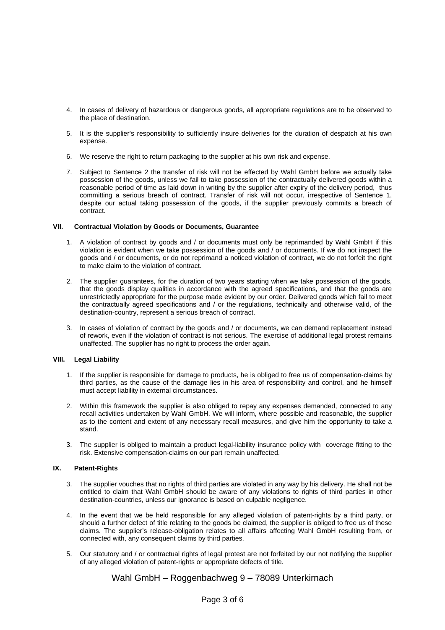- 4. In cases of delivery of hazardous or dangerous goods, all appropriate regulations are to be observed to the place of destination.
- 5. It is the supplier's responsibility to sufficiently insure deliveries for the duration of despatch at his own expense.
- 6. We reserve the right to return packaging to the supplier at his own risk and expense.
- 7. Subject to Sentence 2 the transfer of risk will not be effected by Wahl GmbH before we actually take possession of the goods, unless we fail to take possession of the contractually delivered goods within a reasonable period of time as laid down in writing by the supplier after expiry of the delivery period, thus committing a serious breach of contract. Transfer of risk will not occur, irrespective of Sentence 1, despite our actual taking possession of the goods, if the supplier previously commits a breach of contract.

#### **VII. Contractual Violation by Goods or Documents, Guarantee**

- 1. A violation of contract by goods and / or documents must only be reprimanded by Wahl GmbH if this violation is evident when we take possession of the goods and / or documents. If we do not inspect the goods and / or documents, or do not reprimand a noticed violation of contract, we do not forfeit the right to make claim to the violation of contract.
- 2. The supplier guarantees, for the duration of two years starting when we take possession of the goods, that the goods display qualities in accordance with the agreed specifications, and that the goods are unrestrictedly appropriate for the purpose made evident by our order. Delivered goods which fail to meet the contractually agreed specifications and / or the regulations, technically and otherwise valid, of the destination-country, represent a serious breach of contract.
- 3. In cases of violation of contract by the goods and / or documents, we can demand replacement instead of rework, even if the violation of contract is not serious. The exercise of additional legal protest remains unaffected. The supplier has no right to process the order again.

## **VIII. Legal Liability**

- 1. If the supplier is responsible for damage to products, he is obliged to free us of compensation-claims by third parties, as the cause of the damage lies in his area of responsibility and control, and he himself must accept liability in external circumstances.
- 2. Within this framework the supplier is also obliged to repay any expenses demanded, connected to any recall activities undertaken by Wahl GmbH. We will inform, where possible and reasonable, the supplier as to the content and extent of any necessary recall measures, and give him the opportunity to take a stand.
- 3. The supplier is obliged to maintain a product legal-liability insurance policy with coverage fitting to the risk. Extensive compensation-claims on our part remain unaffected.

## **IX. Patent-Rights**

- 3. The supplier vouches that no rights of third parties are violated in any way by his delivery. He shall not be entitled to claim that Wahl GmbH should be aware of any violations to rights of third parties in other destination-countries, unless our ignorance is based on culpable negligence.
- 4. In the event that we be held responsible for any alleged violation of patent-rights by a third party, or should a further defect of title relating to the goods be claimed, the supplier is obliged to free us of these claims. The supplier's release-obligation relates to all affairs affecting Wahl GmbH resulting from, or connected with, any consequent claims by third parties.
- 5. Our statutory and / or contractual rights of legal protest are not forfeited by our not notifying the supplier of any alleged violation of patent-rights or appropriate defects of title.

## Wahl GmbH – Roggenbachweg 9 – 78089 Unterkirnach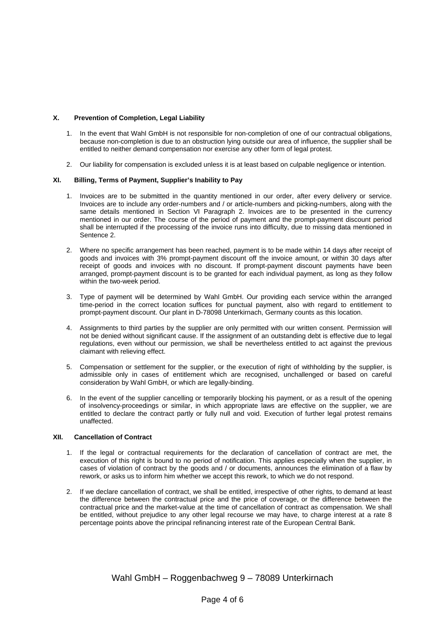## **X. Prevention of Completion, Legal Liability**

- 1. In the event that Wahl GmbH is not responsible for non-completion of one of our contractual obligations, because non-completion is due to an obstruction lying outside our area of influence, the supplier shall be entitled to neither demand compensation nor exercise any other form of legal protest.
- 2. Our liability for compensation is excluded unless it is at least based on culpable negligence or intention.

## **XI. Billing, Terms of Payment, Supplier's Inability to Pay**

- 1. Invoices are to be submitted in the quantity mentioned in our order, after every delivery or service. Invoices are to include any order-numbers and / or article-numbers and picking-numbers, along with the same details mentioned in Section VI Paragraph 2. Invoices are to be presented in the currency mentioned in our order. The course of the period of payment and the prompt-payment discount period shall be interrupted if the processing of the invoice runs into difficulty, due to missing data mentioned in Sentence 2.
- 2. Where no specific arrangement has been reached, payment is to be made within 14 days after receipt of goods and invoices with 3% prompt-payment discount off the invoice amount, or within 30 days after receipt of goods and invoices with no discount. If prompt-payment discount payments have been arranged, prompt-payment discount is to be granted for each individual payment, as long as they follow within the two-week period.
- 3. Type of payment will be determined by Wahl GmbH. Our providing each service within the arranged time-period in the correct location suffices for punctual payment, also with regard to entitlement to prompt-payment discount. Our plant in D-78098 Unterkirnach, Germany counts as this location.
- 4. Assignments to third parties by the supplier are only permitted with our written consent. Permission will not be denied without significant cause. If the assignment of an outstanding debt is effective due to legal regulations, even without our permission, we shall be nevertheless entitled to act against the previous claimant with relieving effect.
- 5. Compensation or settlement for the supplier, or the execution of right of withholding by the supplier, is admissible only in cases of entitlement which are recognised, unchallenged or based on careful consideration by Wahl GmbH, or which are legally-binding.
- 6. In the event of the supplier cancelling or temporarily blocking his payment, or as a result of the opening of insolvency-proceedings or similar, in which appropriate laws are effective on the supplier, we are entitled to declare the contract partly or fully null and void. Execution of further legal protest remains unaffected.

## **XII. Cancellation of Contract**

- 1. If the legal or contractual requirements for the declaration of cancellation of contract are met, the execution of this right is bound to no period of notification. This applies especially when the supplier, in cases of violation of contract by the goods and / or documents, announces the elimination of a flaw by rework, or asks us to inform him whether we accept this rework, to which we do not respond.
- 2. If we declare cancellation of contract, we shall be entitled, irrespective of other rights, to demand at least the difference between the contractual price and the price of coverage, or the difference between the contractual price and the market-value at the time of cancellation of contract as compensation. We shall be entitled, without prejudice to any other legal recourse we may have, to charge interest at a rate 8 percentage points above the principal refinancing interest rate of the European Central Bank.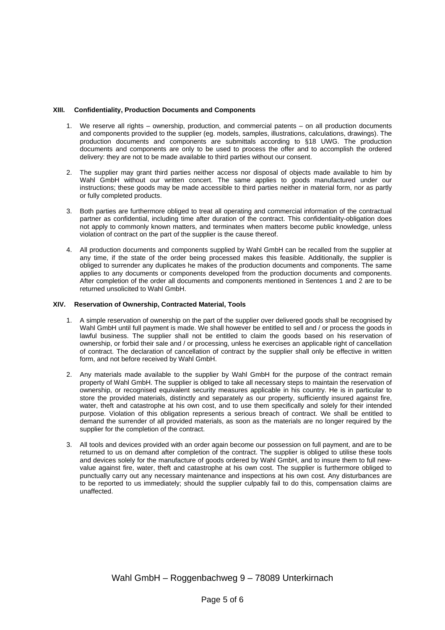## **XIII. Confidentiality, Production Documents and Components**

- 1. We reserve all rights ownership, production, and commercial patents on all production documents and components provided to the supplier (eg. models, samples, illustrations, calculations, drawings). The production documents and components are submittals according to §18 UWG. The production documents and components are only to be used to process the offer and to accomplish the ordered delivery: they are not to be made available to third parties without our consent.
- 2. The supplier may grant third parties neither access nor disposal of objects made available to him by Wahl GmbH without our written concert. The same applies to goods manufactured under our instructions; these goods may be made accessible to third parties neither in material form, nor as partly or fully completed products.
- 3. Both parties are furthermore obliged to treat all operating and commercial information of the contractual partner as confidential, including time after duration of the contract. This confidentiality-obligation does not apply to commonly known matters, and terminates when matters become public knowledge, unless violation of contract on the part of the supplier is the cause thereof.
- 4. All production documents and components supplied by Wahl GmbH can be recalled from the supplier at any time, if the state of the order being processed makes this feasible. Additionally, the supplier is obliged to surrender any duplicates he makes of the production documents and components. The same applies to any documents or components developed from the production documents and components. After completion of the order all documents and components mentioned in Sentences 1 and 2 are to be returned unsolicited to Wahl GmbH.

#### **XIV. Reservation of Ownership, Contracted Material, Tools**

- 1. A simple reservation of ownership on the part of the supplier over delivered goods shall be recognised by Wahl GmbH until full payment is made. We shall however be entitled to sell and / or process the goods in lawful business. The supplier shall not be entitled to claim the goods based on his reservation of ownership, or forbid their sale and / or processing, unless he exercises an applicable right of cancellation of contract. The declaration of cancellation of contract by the supplier shall only be effective in written form, and not before received by Wahl GmbH.
- 2. Any materials made available to the supplier by Wahl GmbH for the purpose of the contract remain property of Wahl GmbH. The supplier is obliged to take all necessary steps to maintain the reservation of ownership, or recognised equivalent security measures applicable in his country. He is in particular to store the provided materials, distinctly and separately as our property, sufficiently insured against fire, water, theft and catastrophe at his own cost, and to use them specifically and solely for their intended purpose. Violation of this obligation represents a serious breach of contract. We shall be entitled to demand the surrender of all provided materials, as soon as the materials are no longer required by the supplier for the completion of the contract.
- 3. All tools and devices provided with an order again become our possession on full payment, and are to be returned to us on demand after completion of the contract. The supplier is obliged to utilise these tools and devices solely for the manufacture of goods ordered by Wahl GmbH, and to insure them to full newvalue against fire, water, theft and catastrophe at his own cost. The supplier is furthermore obliged to punctually carry out any necessary maintenance and inspections at his own cost. Any disturbances are to be reported to us immediately; should the supplier culpably fail to do this, compensation claims are unaffected.